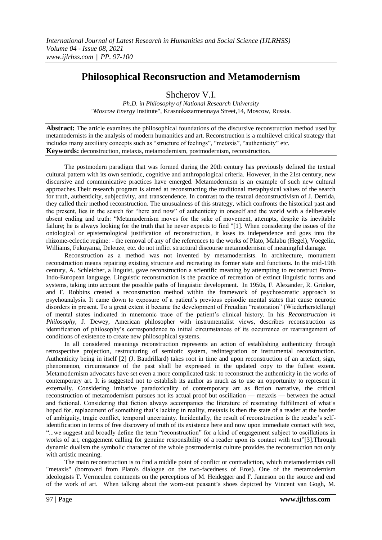# **Philosophical Reconsruction and Metamodernism**

Shcherov V.I.

*Ph.D. in Philosophy of National Research University "Moscow Energy* Institute", Krasnokazarmennaya Street,14, Moscow, Russia.

**Abstract:** The article examines the philosophical foundations of the discursive reconstruction method used by metamodernists in the analysis of modern humanities and art. Reconstruction is a multilevel critical strategy that includes many auxiliary concepts such as "structure of feelings", "metaxis", "authenticity" etc. **Keywords:** deconstruction, metaxis, metamodernism, postmodernism, reconstruction.

The postmodern paradigm that was formed during the 20th century has previously defined the textual cultural pattern with its own semiotic, cognitive and anthropological criteria. However, in the 21st century, new discursive and communicative practices have emerged. Metamodernism is an example of such new cultural approaches.Their research program is aimed at reconstructing the traditional metaphysical values of the search for truth, authenticity, subjectivity, and transcendence. In contrast to the textual deconstructivism of J. Derrida, they called their method reconstruction. The unusualness of this strategy, which confronts the historical past and the present, lies in the search for "here and now" of authenticity in oneself and the world with a deliberately absent ending and truth: "Metamodernism moves for the sake of movement, attempts, despite its inevitable failure; he is always looking for the truth that he never expects to find "[1]. When considering the issues of the ontological or epistemological justification of reconstruction, it loses its independence and goes into the rhizome-eclectic regime: - the removal of any of the references to the works of Plato, Malabu (Hegel), Voegelin, Williams, Fukuyama, Deleuze, etc. do not inflict structural discourse metamodernism of meaningful damage.

Reconstruction as a method was not invented by metamodernists. In architecture, monument reconstruction means repairing existing structure and recreating its former state and functions. In the mid-19th century, A. Schleicher, a linguist, gave reconstruction a scientific meaning by attempting to reconstruct Proto-Indo-European language. Linguistic reconstruction is the practice of recreation of extinct linguistic forms and systems, taking into account the possible paths of linguistic development. In 1950s, F. Alexander, R. Grinker, and F. Robbins created a reconstruction method within the framework of psychosomatic approach to psychoanalysis. It came down to exposure of a patient's previous episodic mental states that cause neurotic disorders in present. To a great extent it became the development of Freudian "restoration" (Wiederherstellung) of mental states indicated in mnemonic trace of the patient's clinical history. In his *Reconstruction in Philosophy*, J. Dewey, American philosopher with instrumentalist views, describes reconstruction as identification of philosophy's correspondence to initial circumstances of its occurrence or rearrangement of conditions of existence to create new philosophical systems.

In all considered meanings reconstruction represents an action of establishing authenticity through retrospective projection, restructuring of semiotic system, redintegration or instrumental reconstruction. Authenticity being in itself [2] (J. Baudrillard) takes root in time and upon reconstruction of an artefact, sign, phenomenon, circumstance of the past shall be expressed in the updated copy to the fullest extent. Metamodernism advocates have set even a more complicated task: to reconstruct the authenticity in the works of contemporary art. It is suggested not to establish its author as much as to use an opportunity to represent it externally. Considering imitative paradoxicality of contemporary art as fiction narrative, the critical reconstruction of metamodernism pursues not its actual proof but oscillation — metaxis — between the actual and fictional. Considering that fiction always accompanies the literature of resonating fulfillment of what's hoped for, replacement of something that's lacking in reality, metaxis is then the state of a reader at the border of ambiguity, tragic conflict, temporal uncertainty. Incidentally, the result of reconstruction is the reader's selfidentification in terms of free discovery of truth of its existence here and now upon immediate contact with text, "...we suggest and broadly define the term "reconstruction" for a kind of engagement subject to oscillations in works of art, engagement calling for genuine responsibility of a reader upon its contact with text"[3]. Through dynamic dualism the symbolic character of the whole postmodernist culture provides the reconstruction not only with artistic meaning.

The main reconstruction is to find a middle point of conflict or contradiction, which metamodernists call "metaxis" (borrowed from Plato's dialogue on the two-facedness of Eros). One of the metamodernism ideologists T. Vermeulen comments on the perceptions of M. Heidegger and F. Jameson on the source and end of the work of art. When talking about the worn-out peasant's shoes depicted by Vincent van Gogh, M.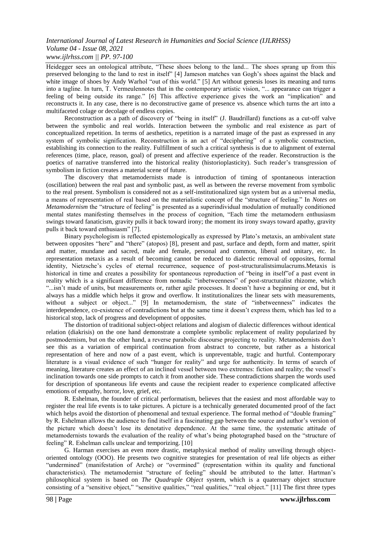### *International Journal of Latest Research in Humanities and Social Science (IJLRHSS) Volume 04 - Issue 08, 2021 www.ijlrhss.com || PP. 97-100*

Heidegger sees an ontological attribute, "These shoes belong to the land... The shoes sprang up from this preserved belonging to the land to rest in itself‖ [4] Jameson matches van Gogh's shoes against the black and white image of shoes by Andy Warhol "out of this world." [5] Art without genesis loses its meaning and turns into a tagline. In turn, T. Vermeulennotes that in the contemporary artistic vision, "... appearance can trigger a feeling of being outside its range." [6] This affective experience gives the work an "implication" and reconstructs it. In any case, there is no deconstructive game of presence vs. absence which turns the art into a multifaceted colage or decolage of endless copies.

Reconstruction as a path of discovery of "being in itself" (J. Baudrillard) functions as a cut-off valve between the symbolic and real worlds. Interaction between the symbolic and real existence as part of conceptualized repetition. In terms of aesthetics, repetition is a narrated image of the past as expressed in any system of symbolic signification. Reconstruction is an act of "deciphering" of a symbolic construction, establishing its connection to the reality. Fulfillment of such a critical synthesis is due to alignment of external references (time, place, reason, goal) of present and affective experience of the reader. Reconstruction is the poetics of narrative transferred into the historical reality (historioplasticity). Such reader's transgression of symbolism in fiction creates a material scene of future.

The discovery that metamodernists made is introduction of timing of spontaneous interaction (oscillation) between the real past and symbolic past, as well as between the reverse movement from symbolic to the real present. Symbolism is considered not as a self-institutionalized sign system but as a universal media, a means of representation of real based on the materialistic concept of the "structure of feeling." In *Notes on Metamodernism* the "structure of feeling" is presented as a superindividual modulation of mutually conditioned mental states manifesting themselves in the process of cognition, "Each time the metamodern enthusiasm swings toward fanaticism, gravity pulls it back toward irony; the moment its irony sways toward apathy, gravity pulls it back toward enthusiasm" [7].

Binary psychologism is reflected epistemologically as expressed by Plato's metaxis, an ambivalent state between opposites "here" and "there" (atopos) [8], present and past, surface and depth, form and matter, spirit and matter, mundane and sacred, male and female, personal and common, liberal and unitary, etc. In representation metaxis as a result of becoming cannot be reduced to dialectic removal of opposites, formal identity, Nietzsche's cycles of eternal recurrence, sequence of post-structuralistsimulacrums.Metaxis is historical in time and creates a possibility for spontaneous reproduction of "being in itself" of a past event in reality which is a significant difference from nomadic "inbetweenness" of post-structuralist rhizome, which ―...isn't made of units, but measurements or, rather agile processes. It doesn't have a beginning or end, but it always has a middle which helps it grow and overflow. It institutionalizes the linear sets with measurements, without a subject or object..." [9] In metamodernism, the state of "inbetweenness" indicates the interdependence, co-existence of contradictions but at the same time it doesn't express them, which has led to a historical stop, lack of progress and development of opposites.

The distortion of traditional subject-object relations and alogism of dialectic differences without identical relation (diakrisis) on the one hand demonstrate a complete symbolic replacement of reality popularized by postmodernism, but on the other hand, a reverse parabolic discourse projecting to reality. Metamodernists don't see this as a variation of empirical continuation from abstract to concrete, but rather as a historical representation of here and now of a past event, which is unpreventable, tragic and hurtful. Contemporary literature is a visual evidence of such "hunger for reality" and urge for authenticity. In terms of search of meaning, literature creates an effect of an inclined vessel between two extremes: fiction and reality; the vessel's inclination towards one side prompts to catch it from another side. These contradictions sharpen the words used for description of spontaneous life events and cause the recipient reader to experience complicated affective emotions of empathy, horror, love, grief, etc.

R. Eshelman, the founder of critical performatism, believes that the easiest and most affordable way to register the real life events is to take pictures. A picture is a technically generated documented proof of the fact which helps avoid the distortion of phenomenal and textual experience. The formal method of "double framing" by R. Eshelman allows the audience to find itself in a fascinating gap between the source and author's version of the picture which doesn't lose its denotative dependence. At the same time, the systematic attitude of metamodernists towards the evaluation of the reality of what's being photographed based on the "structure of feeling" R. Eshelman calls unclear and temporizing. [10]

G. Harman exercises an even more drastic, metaphysical method of reality unveiling through objectoriented ontology (OOO). He presents two cognitive strategies for presentation of real life objects as either "undermined" (manifestation of Arche) or "overmined" (representation within its quality and functional characteristics). The metamodernist "structure of feeling" should be attributed to the latter. Hartman's philosophical system is based on *The Quadruple Object* system, which is a quaternary object structure consisting of a "sensitive object," "sensitive qualities," "real qualities," "real object." [11] The first three types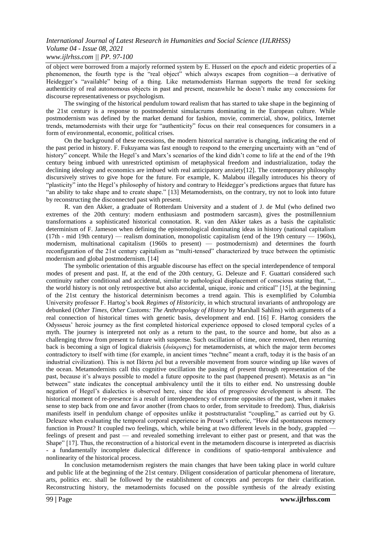#### *International Journal of Latest Research in Humanities and Social Science (IJLRHSS) Volume 04 - Issue 08, 2021 www.ijlrhss.com || PP. 97-100*

of object were borrowed from a majorly reformed system by E. Husserl on the *epoch* and eidetic properties of a phenomenon, the fourth type is the "real object" which always escapes from cognition—a derivative of Heidegger's "available" being of a thing. Like metamodernists Harman supports the trend for seeking authenticity of real autonomous objects in past and present, meanwhile he doesn't make any concessions for discourse representativeness or psychologism.

The swinging of the historical pendulum toward realism that has started to take shape in the beginning of the 21st century is a response to postmodernist simulacrums dominating in the European culture. While postmodernism was defined by the market demand for fashion, movie, commercial, show, politics, Internet trends, metamodernists with their urge for "authenticity" focus on their real consequences for consumers in a form of environmental, economic, political crises.

On the background of these recessions, the modern historical narrative is changing, indicating the end of the past period in history. F. Fukuyama was fast enough to respond to the emerging uncertainty with an "end of history" concept. While the Hegel's and Marx's scenarios of the kind didn't come to life at the end of the 19th century being imbued with unrestricted optimism of metaphysical freedom and industrialization, today the declining ideology and economics are imbued with real anticipatory anxiety[12]. The contemporary philosophy discursively strives to give hope for the future. For example, K. Malabou illegally introduces his theory of "plasticity" into the Hegel's philosophy of history and contrary to Heidegger's predictions argues that future has " an ability to take shape and to create shape." [13] Metamodernists, on the contrary, try not to look into future by reconstructing the disconnected past with present.

R. van den Akker, a graduate of Rotterdam University and a student of J. de Mul (who defined two extremes of the 20th century: modern enthusiasm and postmodern sarcasm), gives the postmillennium transformations a sophisticated historical connotation. R. van den Akker takes as a basis the capitalistic determinism of F. Jameson when defining the epistemological dominating ideas in history (national capitalism  $(17th - mid 19th century)$  — realism domination, monopolistic capitalism (end of the 19th century — 1960s), modernism, multinational capitalism (1960s to present) — postmodernism) and determines the fourth reconfiguration of the 21st century capitalism as "multi-tensed" characterized by truce between the optimistic modernism and global postmodernism. [14]

The symbolic orientation of this arguable discourse has effect on the special interdependence of temporal modes of present and past. If, at the end of the 20th century, G. Deleuze and F. Guattari considered such continuity rather conditional and accidental, similar to pathological displacement of conscious stating that, "... the world history is not only retrospective but also accidental, unique, ironic and critical" [15], at the beginning of the 21st century the historical determinism becomes a trend again. This is exemplified by Columbia University professor F. Hartog's book *Regimes of Historicity*, in which structural invariants of anthropology are debunked (*Other Times, Other Customs: The Anthropology of History* by Marshall Sahlins) with arguments of a real connection of historical times with genetic basis, development and end. [16] F. Hartog considers the Odysseus' heroic journey as the first completed historical experience opposed to closed temporal cycles of a myth. The journey is interpreted not only as a return to the past, to the source and home, but also as a challenging throw from present to future with suspense. Such oscillation of time, once removed, then returning back is becoming a sign of logical diakrisis (*διάκρισις*) for metamodernists, at which the major term *becomes* contradictory to itself with time (for example, in ancient times "techne" meant a craft, today it is the basis of an industrial civilization). This is not Πάντα ρεῖ but a reversible movement from source winding up like waves of the ocean. Metamodernists call this cognitive oscillation the passing of present through representation of the past, because it's always possible to model a future opposite to the past (happened present). Metaxis as an "in between" state indicates the conceptual ambivalency until the it tilts to either end. No unstressing double negation of Hegel's dialectics is observed here, since the idea of progressive development is absent. The historical moment of re-presence is a result of interdependency of extreme opposites of the past, when it makes sense to step back from one and favor another (from chaos to order, from servitude to freedom). Thus, diakrisis manifests itself in pendulum change of opposites unlike it poststructuralist "coupling," as carried out by G. Deleuze when evaluating the temporal corporal experience in Proust's rethoric, "How did spontaneous memory function in Proust? It coupled two feelings, which, while being at two different levels in the body, grappled feelings of present and past — and revealed something irrelevant to either past or present, and that was the Shape" [17]. Thus, the reconstruction of a historical event in the metamodern discourse is interpreted as diacrisis - a fundamentally incomplete dialectical difference in conditions of spatio-temporal ambivalence and nonlinearity of the historical process.

In conclusion metamodernism registers the main changes that have been taking place in world culture and public life at the beginning of the 21st century. Diligent consideration of particular phenomena of literature, arts, politics etc. shall be followed by the establishment of concepts and percepts for their clarification. Reconstructing history, the metamodernists focused on the possible synthesis of the already existing